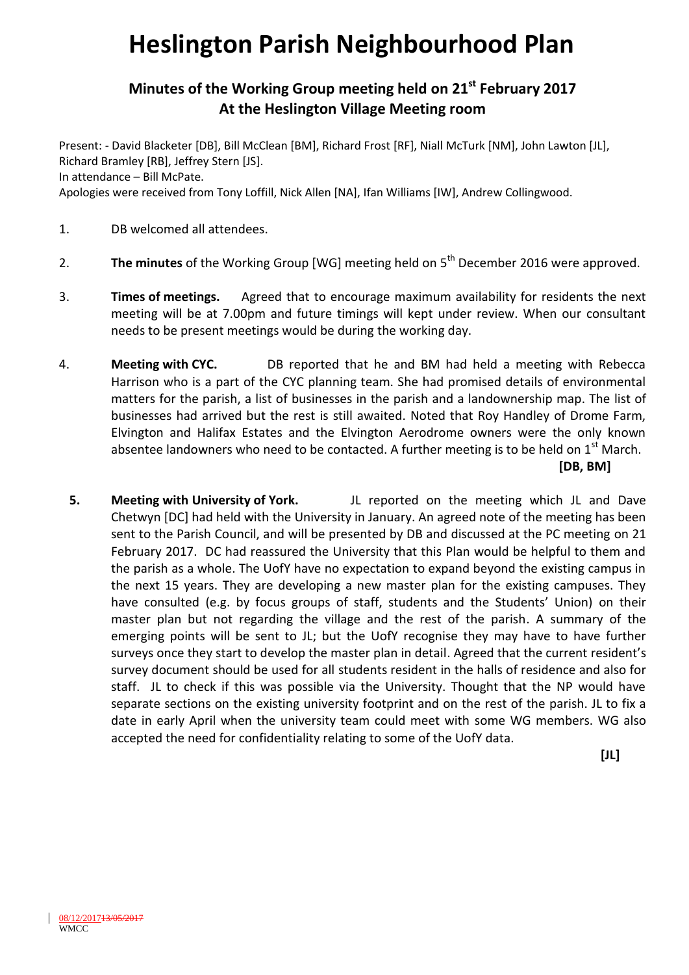## **Heslington Parish Neighbourhood Plan**

## **Minutes of the Working Group meeting held on 21st February 2017 At the Heslington Village Meeting room**

Present: - David Blacketer [DB], Bill McClean [BM], Richard Frost [RF], Niall McTurk [NM], John Lawton [JL], Richard Bramley [RB], Jeffrey Stern [JS]. In attendance – Bill McPate. Apologies were received from Tony Loffill, Nick Allen [NA], Ifan Williams [IW], Andrew Collingwood.

- 1. DB welcomed all attendees.
- 2. The minutes of the Working Group [WG] meeting held on 5<sup>th</sup> December 2016 were approved.
- 3. **Times of meetings.** Agreed that to encourage maximum availability for residents the next meeting will be at 7.00pm and future timings will kept under review. When our consultant needs to be present meetings would be during the working day.
- 4. **Meeting with CYC.** DB reported that he and BM had held a meeting with Rebecca Harrison who is a part of the CYC planning team. She had promised details of environmental matters for the parish, a list of businesses in the parish and a landownership map. The list of businesses had arrived but the rest is still awaited. Noted that Roy Handley of Drome Farm, Elvington and Halifax Estates and the Elvington Aerodrome owners were the only known absentee landowners who need to be contacted. A further meeting is to be held on  $1<sup>st</sup>$  March. **[DB, BM]**
	- **5. Meeting with University of York.** JL reported on the meeting which JL and Dave Chetwyn [DC] had held with the University in January. An agreed note of the meeting has been sent to the Parish Council, and will be presented by DB and discussed at the PC meeting on 21 February 2017. DC had reassured the University that this Plan would be helpful to them and the parish as a whole. The UofY have no expectation to expand beyond the existing campus in the next 15 years. They are developing a new master plan for the existing campuses. They have consulted (e.g. by focus groups of staff, students and the Students' Union) on their master plan but not regarding the village and the rest of the parish. A summary of the emerging points will be sent to JL; but the UofY recognise they may have to have further surveys once they start to develop the master plan in detail. Agreed that the current resident's survey document should be used for all students resident in the halls of residence and also for staff. JL to check if this was possible via the University. Thought that the NP would have separate sections on the existing university footprint and on the rest of the parish. JL to fix a date in early April when the university team could meet with some WG members. WG also accepted the need for confidentiality relating to some of the UofY data.

**[JL]**